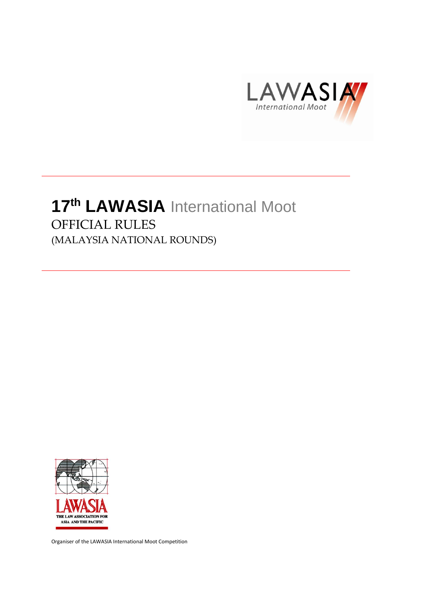

# **17 th LAWASIA** International Moot OFFICIAL RULES (MALAYSIA NATIONAL ROUNDS)



Organiser of the LAWASIA International Moot Competition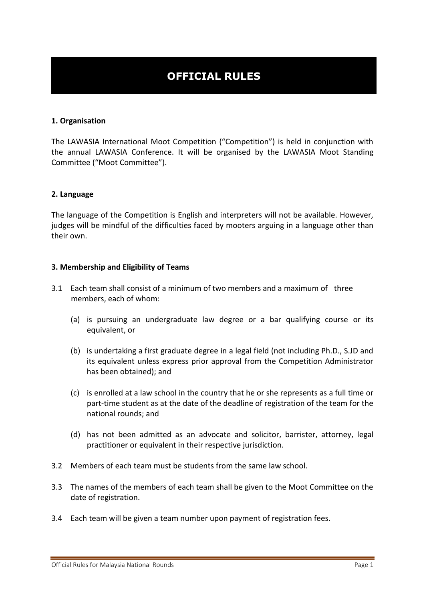# **OFFICIAL RULES**

#### **1. Organisation**

The LAWASIA International Moot Competition ("Competition") is held in conjunction with the annual LAWASIA Conference. It will be organised by the LAWASIA Moot Standing Committee ("Moot Committee").

#### **2. Language**

The language of the Competition is English and interpreters will not be available. However, judges will be mindful of the difficulties faced by mooters arguing in a language other than their own.

#### **3. Membership and Eligibility of Teams**

- 3.1 Each team shall consist of a minimum of two members and a maximum of three members, each of whom:
	- (a) is pursuing an undergraduate law degree or a bar qualifying course or its equivalent, or
	- (b) is undertaking a first graduate degree in a legal field (not including Ph.D., S.JD and its equivalent unless express prior approval from the Competition Administrator has been obtained); and
	- (c) is enrolled at a law school in the country that he or she represents as a full time or part-time student as at the date of the deadline of registration of the team for the national rounds; and
	- (d) has not been admitted as an advocate and solicitor, barrister, attorney, legal practitioner or equivalent in their respective jurisdiction.
- 3.2 Members of each team must be students from the same law school.
- 3.3 The names of the members of each team shall be given to the Moot Committee on the date of registration.
- 3.4 Each team will be given a team number upon payment of registration fees.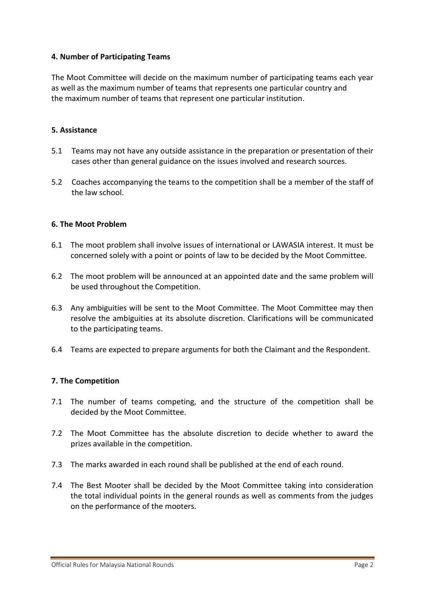# **4. Number of Participating Teams**

The Moot Committee will decide on the maximum number of participating teams each year as well as the maximum number of teams that represents one particular country and the maximum number of teams that represent one particular institution.

# **5. Assistance**

- 5.1 Teams may not have any outside assistance in the preparation or presentation of their cases other than general guidance on the issues involved and research sources.
- 5.2 Coaches accompanying the teams to the competition shall be a member of the staff of the law school.

#### **6. The Moot Problem**

- 6.1 The moot problem shall involve issues of international or LAWASIA interest. It must be concerned solely with a point or points of law to be decided by the Moot Committee.
- 6.2 The moot problem will be announced at an appointed date and the same problem will be used throughout the Competition.
- 6.3 Any ambiguities will be sent to the Moot Committee. The Moot Committee may then resolve the ambiguities at its absolute discretion. Clarifications will be communicated to the participating teams.
- 6.4 Teams are expected to prepare arguments for both the Claimant and the Respondent.

# **7. The Competition**

- 7.1 The number of teams competing, and the structure of the competition shall be decided by the Moot Committee.
- 7.2 The Moot Committee has the absolute discretion to decide whether to award the prizes available in the competition.
- 7.3 The marks awarded in each round shall be published at the end of each round.
- 7.4 The Best Mooter shall be decided by the Moot Committee taking into consideration the total individual points in the general rounds as well as comments from the judges on the performance of the mooters.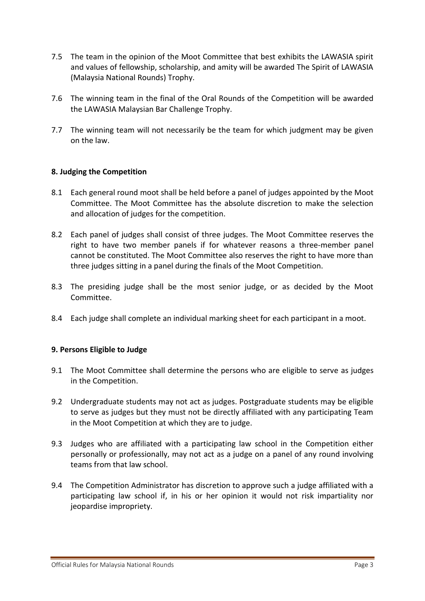- 7.5 The team in the opinion of the Moot Committee that best exhibits the LAWASIA spirit and values of fellowship, scholarship, and amity will be awarded The Spirit of LAWASIA (Malaysia National Rounds) Trophy.
- 7.6 The winning team in the final of the Oral Rounds of the Competition will be awarded the LAWASIA Malaysian Bar Challenge Trophy.
- 7.7 The winning team will not necessarily be the team for which judgment may be given on the law.

# **8. Judging the Competition**

- 8.1 Each general round moot shall be held before a panel of judges appointed by the Moot Committee. The Moot Committee has the absolute discretion to make the selection and allocation of judges for the competition.
- 8.2 Each panel of judges shall consist of three judges. The Moot Committee reserves the right to have two member panels if for whatever reasons a three-member panel cannot be constituted. The Moot Committee also reserves the right to have more than three judges sitting in a panel during the finals of the Moot Competition.
- 8.3 The presiding judge shall be the most senior judge, or as decided by the Moot Committee.
- 8.4 Each judge shall complete an individual marking sheet for each participant in a moot.

#### **9. Persons Eligible to Judge**

- 9.1 The Moot Committee shall determine the persons who are eligible to serve as judges in the Competition.
- 9.2 Undergraduate students may not act as judges. Postgraduate students may be eligible to serve as judges but they must not be directly affiliated with any participating Team in the Moot Competition at which they are to judge.
- 9.3 Judges who are affiliated with a participating law school in the Competition either personally or professionally, may not act as a judge on a panel of any round involving teams from that law school.
- 9.4 The Competition Administrator has discretion to approve such a judge affiliated with a participating law school if, in his or her opinion it would not risk impartiality nor jeopardise impropriety.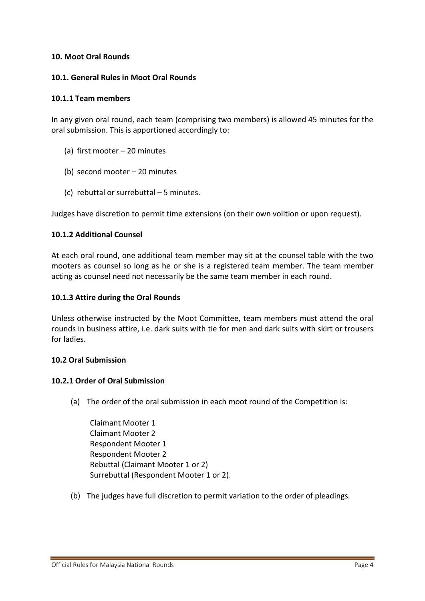#### **10. Moot Oral Rounds**

#### **10.1. General Rules in Moot Oral Rounds**

#### **10.1.1 Team members**

In any given oral round, each team (comprising two members) is allowed 45 minutes for the oral submission. This is apportioned accordingly to:

- (a) first mooter 20 minutes
- (b) second mooter 20 minutes
- (c) rebuttal or surrebuttal 5 minutes.

Judges have discretion to permit time extensions (on their own volition or upon request).

#### **10.1.2 Additional Counsel**

At each oral round, one additional team member may sit at the counsel table with the two mooters as counsel so long as he or she is a registered team member. The team member acting as counsel need not necessarily be the same team member in each round.

#### **10.1.3 Attire during the Oral Rounds**

Unless otherwise instructed by the Moot Committee, team members must attend the oral rounds in business attire, i.e. dark suits with tie for men and dark suits with skirt or trousers for ladies.

#### **10.2 Oral Submission**

#### **10.2.1 Order of Oral Submission**

(a) The order of the oral submission in each moot round of the Competition is:

Claimant Mooter 1 Claimant Mooter 2 Respondent Mooter 1 Respondent Mooter 2 Rebuttal (Claimant Mooter 1 or 2) Surrebuttal (Respondent Mooter 1 or 2).

(b) The judges have full discretion to permit variation to the order of pleadings.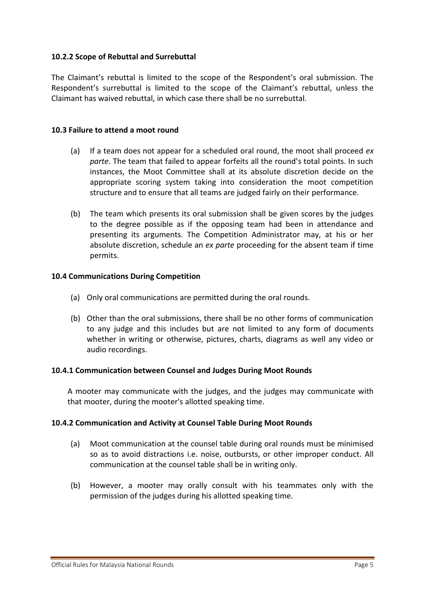# **10.2.2 Scope of Rebuttal and Surrebuttal**

The Claimant's rebuttal is limited to the scope of the Respondent's oral submission. The Respondent's surrebuttal is limited to the scope of the Claimant's rebuttal, unless the Claimant has waived rebuttal, in which case there shall be no surrebuttal.

#### **10.3 Failure to attend a moot round**

- (a) If a team does not appear for a scheduled oral round, the moot shall proceed *ex parte*. The team that failed to appear forfeits all the round's total points. In such instances, the Moot Committee shall at its absolute discretion decide on the appropriate scoring system taking into consideration the moot competition structure and to ensure that all teams are judged fairly on their performance.
- (b) The team which presents its oral submission shall be given scores by the judges to the degree possible as if the opposing team had been in attendance and presenting its arguments. The Competition Administrator may, at his or her absolute discretion, schedule an *ex parte* proceeding for the absent team if time permits.

#### **10.4 Communications During Competition**

- (a) Only oral communications are permitted during the oral rounds.
- (b) Other than the oral submissions, there shall be no other forms of communication to any judge and this includes but are not limited to any form of documents whether in writing or otherwise, pictures, charts, diagrams as well any video or audio recordings.

#### **10.4.1 Communication between Counsel and Judges During Moot Rounds**

A mooter may communicate with the judges, and the judges may communicate with that mooter, during the mooter's allotted speaking time.

#### **10.4.2 Communication and Activity at Counsel Table During Moot Rounds**

- (a) Moot communication at the counsel table during oral rounds must be minimised so as to avoid distractions i.e. noise, outbursts, or other improper conduct. All communication at the counsel table shall be in writing only.
- (b) However, a mooter may orally consult with his teammates only with the permission of the judges during his allotted speaking time.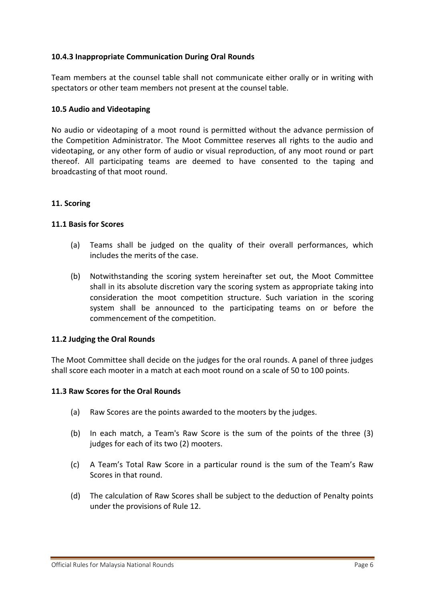# **10.4.3 Inappropriate Communication During Oral Rounds**

Team members at the counsel table shall not communicate either orally or in writing with spectators or other team members not present at the counsel table.

#### **10.5 Audio and Videotaping**

No audio or videotaping of a moot round is permitted without the advance permission of the Competition Administrator. The Moot Committee reserves all rights to the audio and videotaping, or any other form of audio or visual reproduction, of any moot round or part thereof. All participating teams are deemed to have consented to the taping and broadcasting of that moot round.

#### **11. Scoring**

#### **11.1 Basis for Scores**

- (a) Teams shall be judged on the quality of their overall performances, which includes the merits of the case.
- (b) Notwithstanding the scoring system hereinafter set out, the Moot Committee shall in its absolute discretion vary the scoring system as appropriate taking into consideration the moot competition structure. Such variation in the scoring system shall be announced to the participating teams on or before the commencement of the competition.

#### **11.2 Judging the Oral Rounds**

The Moot Committee shall decide on the judges for the oral rounds. A panel of three judges shall score each mooter in a match at each moot round on a scale of 50 to 100 points.

#### **11.3 Raw Scores for the Oral Rounds**

- (a) Raw Scores are the points awarded to the mooters by the judges.
- (b) In each match, a Team's Raw Score is the sum of the points of the three (3) judges for each of its two (2) mooters.
- (c) A Team's Total Raw Score in a particular round is the sum of the Team's Raw Scores in that round.
- (d) The calculation of Raw Scores shall be subject to the deduction of Penalty points under the provisions of Rule 12.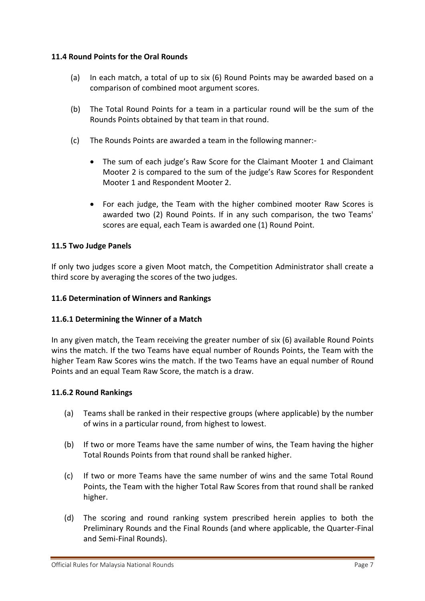# **11.4 Round Points for the Oral Rounds**

- (a) In each match, a total of up to six (6) Round Points may be awarded based on a comparison of combined moot argument scores.
- (b) The Total Round Points for a team in a particular round will be the sum of the Rounds Points obtained by that team in that round.
- (c) The Rounds Points are awarded a team in the following manner:-
	- The sum of each judge's Raw Score for the Claimant Mooter 1 and Claimant Mooter 2 is compared to the sum of the judge's Raw Scores for Respondent Mooter 1 and Respondent Mooter 2.
	- For each judge, the Team with the higher combined mooter Raw Scores is awarded two (2) Round Points. If in any such comparison, the two Teams' scores are equal, each Team is awarded one (1) Round Point.

# **11.5 Two Judge Panels**

If only two judges score a given Moot match, the Competition Administrator shall create a third score by averaging the scores of the two judges.

#### **11.6 Determination of Winners and Rankings**

# **11.6.1 Determining the Winner of a Match**

In any given match, the Team receiving the greater number of six (6) available Round Points wins the match. If the two Teams have equal number of Rounds Points, the Team with the higher Team Raw Scores wins the match. If the two Teams have an equal number of Round Points and an equal Team Raw Score, the match is a draw.

#### **11.6.2 Round Rankings**

- (a) Teams shall be ranked in their respective groups (where applicable) by the number of wins in a particular round, from highest to lowest.
- (b) If two or more Teams have the same number of wins, the Team having the higher Total Rounds Points from that round shall be ranked higher.
- (c) If two or more Teams have the same number of wins and the same Total Round Points, the Team with the higher Total Raw Scores from that round shall be ranked higher.
- (d) The scoring and round ranking system prescribed herein applies to both the Preliminary Rounds and the Final Rounds (and where applicable, the Quarter-Final and Semi-Final Rounds).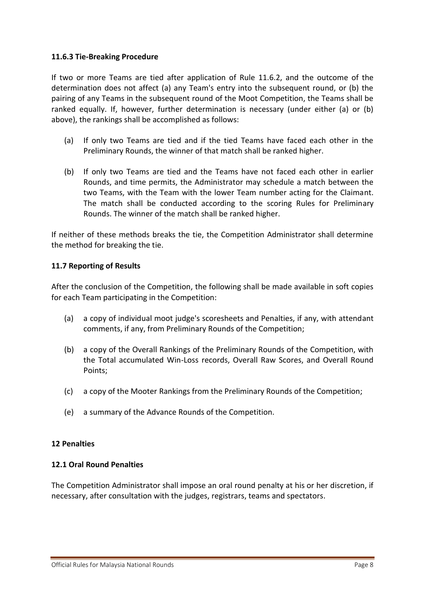#### **11.6.3 Tie-Breaking Procedure**

If two or more Teams are tied after application of Rule 11.6.2, and the outcome of the determination does not affect (a) any Team's entry into the subsequent round, or (b) the pairing of any Teams in the subsequent round of the Moot Competition, the Teams shall be ranked equally. If, however, further determination is necessary (under either (a) or (b) above), the rankings shall be accomplished as follows:

- (a) If only two Teams are tied and if the tied Teams have faced each other in the Preliminary Rounds, the winner of that match shall be ranked higher.
- (b) If only two Teams are tied and the Teams have not faced each other in earlier Rounds, and time permits, the Administrator may schedule a match between the two Teams, with the Team with the lower Team number acting for the Claimant. The match shall be conducted according to the scoring Rules for Preliminary Rounds. The winner of the match shall be ranked higher.

If neither of these methods breaks the tie, the Competition Administrator shall determine the method for breaking the tie.

#### **11.7 Reporting of Results**

After the conclusion of the Competition, the following shall be made available in soft copies for each Team participating in the Competition:

- (a) a copy of individual moot judge's scoresheets and Penalties, if any, with attendant comments, if any, from Preliminary Rounds of the Competition;
- (b) a copy of the Overall Rankings of the Preliminary Rounds of the Competition, with the Total accumulated Win-Loss records, Overall Raw Scores, and Overall Round Points;
- (c) a copy of the Mooter Rankings from the Preliminary Rounds of the Competition;
- (e) a summary of the Advance Rounds of the Competition.

#### **12 Penalties**

# **12.1 Oral Round Penalties**

The Competition Administrator shall impose an oral round penalty at his or her discretion, if necessary, after consultation with the judges, registrars, teams and spectators.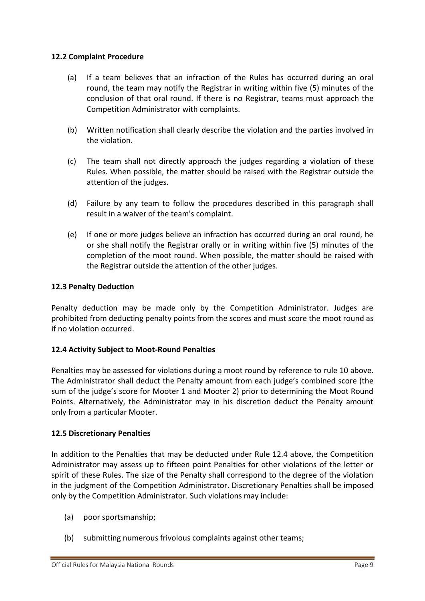# **12.2 Complaint Procedure**

- (a) If a team believes that an infraction of the Rules has occurred during an oral round, the team may notify the Registrar in writing within five (5) minutes of the conclusion of that oral round. If there is no Registrar, teams must approach the Competition Administrator with complaints.
- (b) Written notification shall clearly describe the violation and the parties involved in the violation.
- (c) The team shall not directly approach the judges regarding a violation of these Rules. When possible, the matter should be raised with the Registrar outside the attention of the judges.
- (d) Failure by any team to follow the procedures described in this paragraph shall result in a waiver of the team's complaint.
- (e) If one or more judges believe an infraction has occurred during an oral round, he or she shall notify the Registrar orally or in writing within five (5) minutes of the completion of the moot round. When possible, the matter should be raised with the Registrar outside the attention of the other judges.

# **12.3 Penalty Deduction**

Penalty deduction may be made only by the Competition Administrator. Judges are prohibited from deducting penalty points from the scores and must score the moot round as if no violation occurred.

# **12.4 Activity Subject to Moot-Round Penalties**

Penalties may be assessed for violations during a moot round by reference to rule 10 above. The Administrator shall deduct the Penalty amount from each judge's combined score (the sum of the judge's score for Mooter 1 and Mooter 2) prior to determining the Moot Round Points. Alternatively, the Administrator may in his discretion deduct the Penalty amount only from a particular Mooter.

#### **12.5 Discretionary Penalties**

In addition to the Penalties that may be deducted under Rule 12.4 above, the Competition Administrator may assess up to fifteen point Penalties for other violations of the letter or spirit of these Rules. The size of the Penalty shall correspond to the degree of the violation in the judgment of the Competition Administrator. Discretionary Penalties shall be imposed only by the Competition Administrator. Such violations may include:

- (a) poor sportsmanship;
- (b) submitting numerous frivolous complaints against other teams;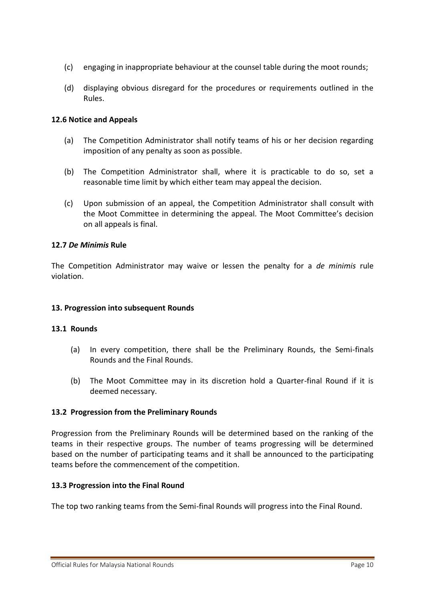- (c) engaging in inappropriate behaviour at the counsel table during the moot rounds;
- (d) displaying obvious disregard for the procedures or requirements outlined in the Rules.

# **12.6 Notice and Appeals**

- (a) The Competition Administrator shall notify teams of his or her decision regarding imposition of any penalty as soon as possible.
- (b) The Competition Administrator shall, where it is practicable to do so, set a reasonable time limit by which either team may appeal the decision.
- (c) Upon submission of an appeal, the Competition Administrator shall consult with the Moot Committee in determining the appeal. The Moot Committee's decision on all appeals is final.

# **12.7** *De Minimis* **Rule**

The Competition Administrator may waive or lessen the penalty for a *de minimis* rule violation.

# **13. Progression into subsequent Rounds**

#### **13.1 Rounds**

- (a) In every competition, there shall be the Preliminary Rounds, the Semi-finals Rounds and the Final Rounds.
- (b) The Moot Committee may in its discretion hold a Quarter-final Round if it is deemed necessary.

# **13.2 Progression from the Preliminary Rounds**

Progression from the Preliminary Rounds will be determined based on the ranking of the teams in their respective groups. The number of teams progressing will be determined based on the number of participating teams and it shall be announced to the participating teams before the commencement of the competition.

# **13.3 Progression into the Final Round**

The top two ranking teams from the Semi-final Rounds will progress into the Final Round.